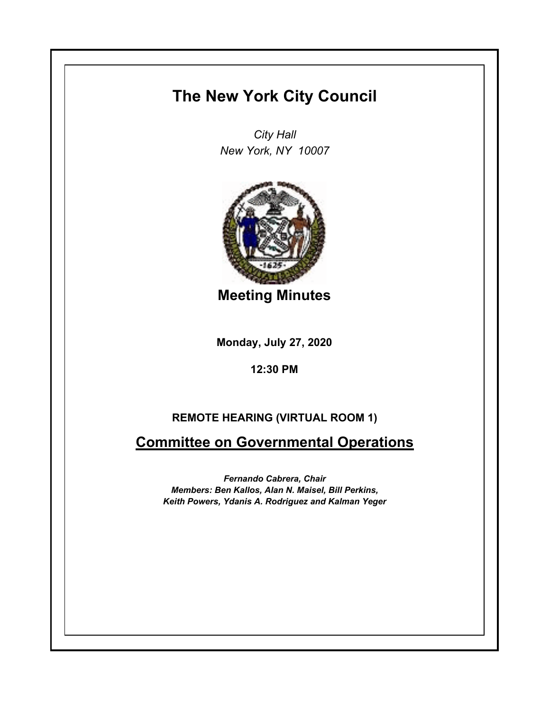## **The New York City Council**

*City Hall New York, NY 10007*



**Meeting Minutes**

**Monday, July 27, 2020**

**12:30 PM**

## **REMOTE HEARING (VIRTUAL ROOM 1)**

**Committee on Governmental Operations**

*Fernando Cabrera, Chair Members: Ben Kallos, Alan N. Maisel, Bill Perkins, Keith Powers, Ydanis A. Rodriguez and Kalman Yeger*